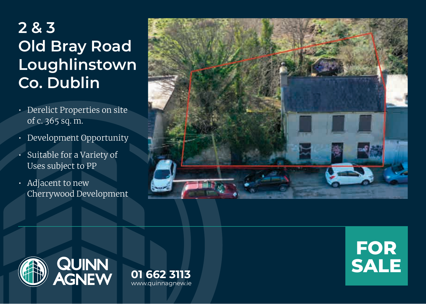# **2 & 3 Old Bray Road Loughlinstown Co. Dublin**

- Derelict Properties on site of c. 365 sq. m.
- Development Opportunity
- Suitable for a Variety of Uses subject to PP
- Adjacent to new Cherrywood Development





www.quinnagnew.ie

**FOR 01 662 3113 SALE**